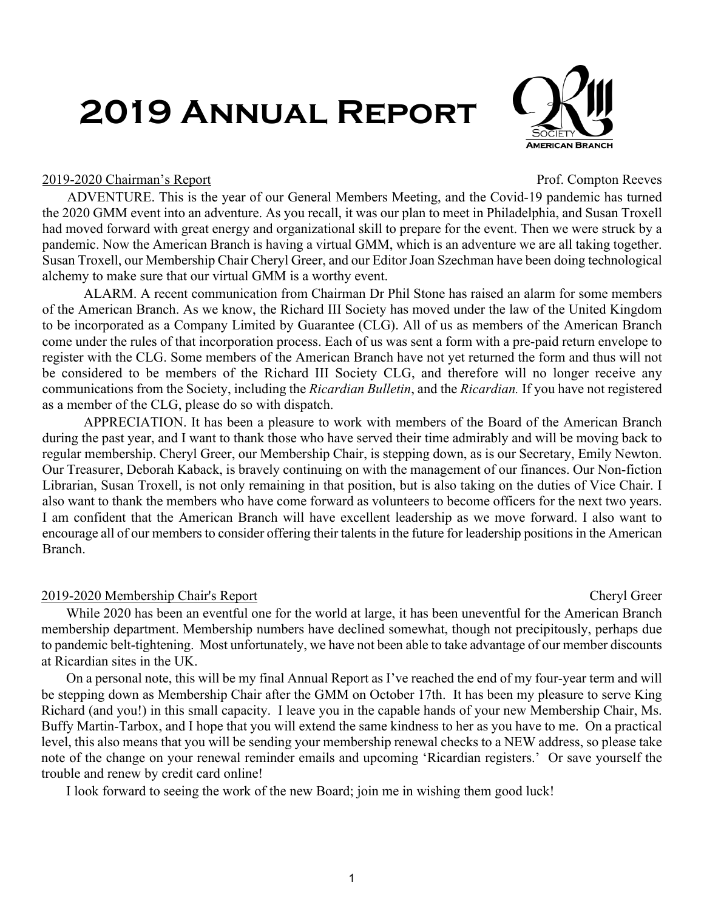# **2019 Annual Report**



#### 2019-2020 Chairman's Report Prof. Compton Reeves

ADVENTURE. This is the year of our General Members Meeting, and the Covid-19 pandemic has turned the 2020 GMM event into an adventure. As you recall, it was our plan to meet in Philadelphia, and Susan Troxell had moved forward with great energy and organizational skill to prepare for the event. Then we were struck by a pandemic. Now the American Branch is having a virtual GMM, which is an adventure we are all taking together. Susan Troxell, our Membership Chair Cheryl Greer, and our Editor Joan Szechman have been doing technological alchemy to make sure that our virtual GMM is a worthy event.

 ALARM. A recent communication from Chairman Dr Phil Stone has raised an alarm for some members of the American Branch. As we know, the Richard III Society has moved under the law of the United Kingdom to be incorporated as a Company Limited by Guarantee (CLG). All of us as members of the American Branch come under the rules of that incorporation process. Each of us was sent a form with a pre-paid return envelope to register with the CLG. Some members of the American Branch have not yet returned the form and thus will not be considered to be members of the Richard III Society CLG, and therefore will no longer receive any communications from the Society, including the *Ricardian Bulletin*, and the *Ricardian.* If you have not registered as a member of the CLG, please do so with dispatch.

 APPRECIATION. It has been a pleasure to work with members of the Board of the American Branch during the past year, and I want to thank those who have served their time admirably and will be moving back to regular membership. Cheryl Greer, our Membership Chair, is stepping down, as is our Secretary, Emily Newton. Our Treasurer, Deborah Kaback, is bravely continuing on with the management of our finances. Our Non-fiction Librarian, Susan Troxell, is not only remaining in that position, but is also taking on the duties of Vice Chair. I also want to thank the members who have come forward as volunteers to become officers for the next two years. I am confident that the American Branch will have excellent leadership as we move forward. I also want to encourage all of our members to consider offering their talents in the future for leadership positions in the American Branch.

### 2019-2020 Membership Chair's Report Cheryl Greer

While 2020 has been an eventful one for the world at large, it has been uneventful for the American Branch membership department. Membership numbers have declined somewhat, though not precipitously, perhaps due to pandemic belt-tightening. Most unfortunately, we have not been able to take advantage of our member discounts at Ricardian sites in the UK.

On a personal note, this will be my final Annual Report as I've reached the end of my four-year term and will be stepping down as Membership Chair after the GMM on October 17th. It has been my pleasure to serve King Richard (and you!) in this small capacity. I leave you in the capable hands of your new Membership Chair, Ms. Buffy Martin-Tarbox, and I hope that you will extend the same kindness to her as you have to me. On a practical level, this also means that you will be sending your membership renewal checks to a NEW address, so please take note of the change on your renewal reminder emails and upcoming 'Ricardian registers.' Or save yourself the trouble and renew by credit card online!

I look forward to seeing the work of the new Board; join me in wishing them good luck!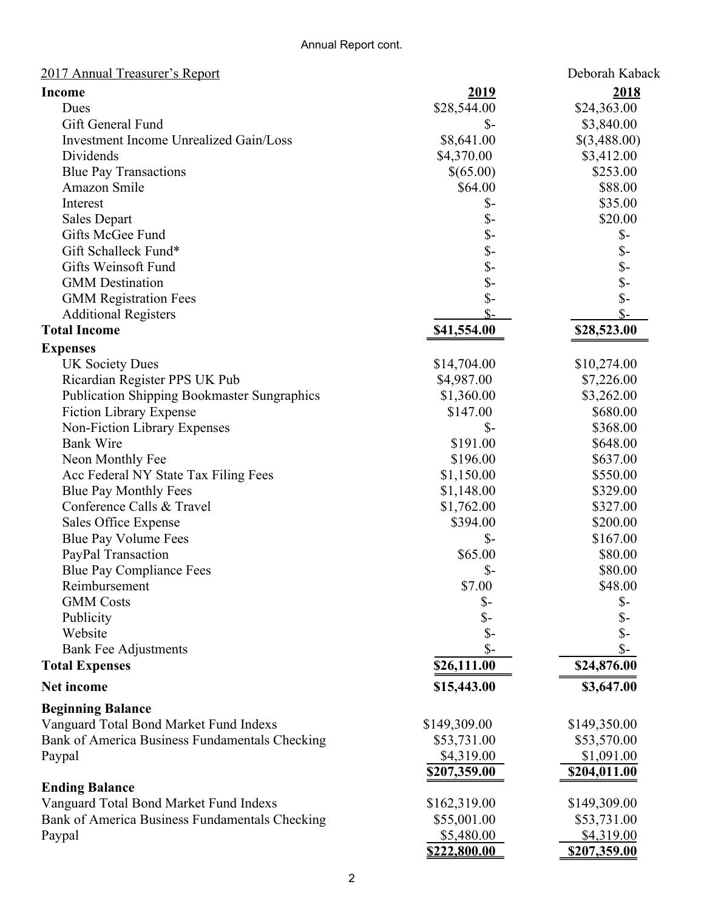| 2017 Annual Treasurer's Report                     |                 | Deborah Kaback           |
|----------------------------------------------------|-----------------|--------------------------|
| <b>Income</b>                                      | <u>2019</u>     | 2018                     |
| Dues                                               | \$28,544.00     | \$24,363.00              |
| Gift General Fund                                  | $S-$            | \$3,840.00               |
| <b>Investment Income Unrealized Gain/Loss</b>      | \$8,641.00      | \$(3,488.00)             |
| Dividends                                          | \$4,370.00      | \$3,412.00               |
| <b>Blue Pay Transactions</b>                       | \$(65.00)       | \$253.00                 |
| Amazon Smile                                       | \$64.00         | \$88.00                  |
| Interest                                           | $\mathcal{S}$ - | \$35.00                  |
| <b>Sales Depart</b>                                | $\mathcal{S}$ - | \$20.00                  |
| Gifts McGee Fund                                   | $\mathbb{S}$ -  | $\mathcal{S}$ -          |
| Gift Schalleck Fund*                               | $\mathbb{S}$ -  |                          |
| Gifts Weinsoft Fund                                | $\mathsf{S}$ -  | \$-<br>\$-<br>\$-<br>\$- |
| <b>GMM</b> Destination                             | $\mathsf{\$}$   |                          |
| <b>GMM Registration Fees</b>                       | $\mathcal{S}$ - |                          |
| <b>Additional Registers</b>                        | $S-$            | $S-$                     |
| <b>Total Income</b>                                | \$41,554.00     | \$28,523.00              |
|                                                    |                 |                          |
| <b>Expenses</b>                                    |                 |                          |
| <b>UK Society Dues</b>                             | \$14,704.00     | \$10,274.00              |
| Ricardian Register PPS UK Pub                      | \$4,987.00      | \$7,226.00               |
| <b>Publication Shipping Bookmaster Sungraphics</b> | \$1,360.00      | \$3,262.00               |
| <b>Fiction Library Expense</b>                     | \$147.00        | \$680.00                 |
| Non-Fiction Library Expenses                       | $\mathcal{S}$ - | \$368.00                 |
| <b>Bank Wire</b>                                   | \$191.00        | \$648.00                 |
| Neon Monthly Fee                                   | \$196.00        | \$637.00                 |
| Acc Federal NY State Tax Filing Fees               | \$1,150.00      | \$550.00                 |
| <b>Blue Pay Monthly Fees</b>                       | \$1,148.00      | \$329.00                 |
| Conference Calls & Travel                          | \$1,762.00      | \$327.00                 |
| Sales Office Expense                               | \$394.00        | \$200.00                 |
| Blue Pay Volume Fees                               | $\mathcal{S}$ - | \$167.00                 |
| PayPal Transaction                                 | \$65.00         | \$80.00                  |
| <b>Blue Pay Compliance Fees</b>                    | $\mathcal{S}$ - | \$80.00                  |
| Reimbursement                                      | \$7.00          | \$48.00                  |
| <b>GMM</b> Costs                                   | $S-$            | $\mathcal{S}$ -          |
| Publicity                                          | $\mathcal{S}$ - | $\mathcal{S}-$           |
| Website                                            | $\mathsf{\$}$   | \$-                      |
| <b>Bank Fee Adjustments</b>                        | $\mathcal{S}$ - | $\mathcal{S}$ -          |
| <b>Total Expenses</b>                              | \$26,111.00     | \$24,876.00              |
| <b>Net income</b>                                  | \$15,443.00     | \$3,647.00               |
| <b>Beginning Balance</b>                           |                 |                          |
| Vanguard Total Bond Market Fund Indexs             | \$149,309.00    | \$149,350.00             |
| Bank of America Business Fundamentals Checking     | \$53,731.00     | \$53,570.00              |
| Paypal                                             | \$4,319.00      | \$1,091.00               |
|                                                    | \$207,359.00    | \$204,011.00             |
| <b>Ending Balance</b>                              |                 |                          |
| Vanguard Total Bond Market Fund Indexs             | \$162,319.00    | \$149,309.00             |
| Bank of America Business Fundamentals Checking     | \$55,001.00     | \$53,731.00              |
| Paypal                                             | \$5,480.00      | \$4,319.00               |
|                                                    | \$222,800.00    | \$207,359.00             |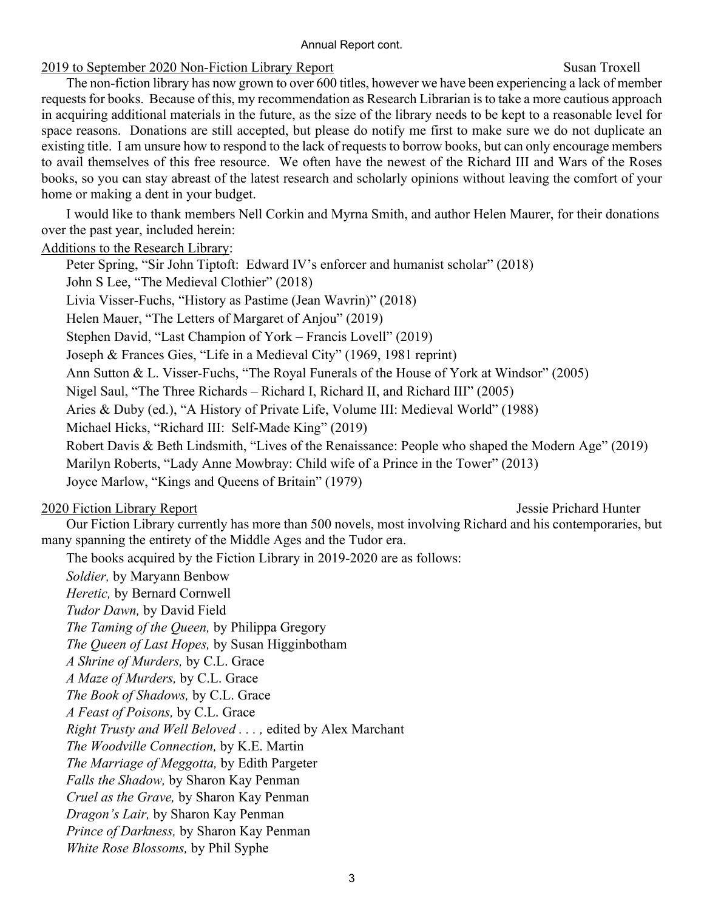#### Annual Report cont.

#### 2019 to September 2020 Non-Fiction Library Report Susan Troxell

The non-fiction library has now grown to over 600 titles, however we have been experiencing a lack of member requests for books. Because of this, my recommendation as Research Librarian is to take a more cautious approach in acquiring additional materials in the future, as the size of the library needs to be kept to a reasonable level for space reasons. Donations are still accepted, but please do notify me first to make sure we do not duplicate an existing title. I am unsure how to respond to the lack of requests to borrow books, but can only encourage members to avail themselves of this free resource. We often have the newest of the Richard III and Wars of the Roses books, so you can stay abreast of the latest research and scholarly opinions without leaving the comfort of your home or making a dent in your budget.

I would like to thank members Nell Corkin and Myrna Smith, and author Helen Maurer, for their donations over the past year, included herein:

Additions to the Research Library:

Peter Spring, "Sir John Tiptoft: Edward IV's enforcer and humanist scholar" (2018) John S Lee, "The Medieval Clothier" (2018) Livia Visser-Fuchs, "History as Pastime (Jean Wavrin)" (2018) Helen Mauer, "The Letters of Margaret of Anjou" (2019) Stephen David, "Last Champion of York – Francis Lovell" (2019) Joseph & Frances Gies, "Life in a Medieval City" (1969, 1981 reprint) Ann Sutton & L. Visser-Fuchs, "The Royal Funerals of the House of York at Windsor" (2005) Nigel Saul, "The Three Richards – Richard I, Richard II, and Richard III" (2005) Aries & Duby (ed.), "A History of Private Life, Volume III: Medieval World" (1988) Michael Hicks, "Richard III: Self-Made King" (2019) Robert Davis & Beth Lindsmith, "Lives of the Renaissance: People who shaped the Modern Age" (2019) Marilyn Roberts, "Lady Anne Mowbray: Child wife of a Prince in the Tower" (2013) Joyce Marlow, "Kings and Queens of Britain" (1979)

### 2020 Fiction Library Report Jessie Prichard Hunter

Our Fiction Library currently has more than 500 novels, most involving Richard and his contemporaries, but many spanning the entirety of the Middle Ages and the Tudor era.

The books acquired by the Fiction Library in 2019-2020 are as follows:

*Soldier,* by Maryann Benbow *Heretic,* by Bernard Cornwell *Tudor Dawn,* by David Field *The Taming of the Queen,* by Philippa Gregory *The Queen of Last Hopes,* by Susan Higginbotham *A Shrine of Murders,* by C.L. Grace *A Maze of Murders,* by C.L. Grace *The Book of Shadows,* by C.L. Grace *A Feast of Poisons,* by C.L. Grace *Right Trusty and Well Beloved . . . ,* edited by Alex Marchant *The Woodville Connection,* by K.E. Martin *The Marriage of Meggotta,* by Edith Pargeter *Falls the Shadow,* by Sharon Kay Penman *Cruel as the Grave,* by Sharon Kay Penman *Dragon's Lair,* by Sharon Kay Penman *Prince of Darkness,* by Sharon Kay Penman *White Rose Blossoms,* by Phil Syphe